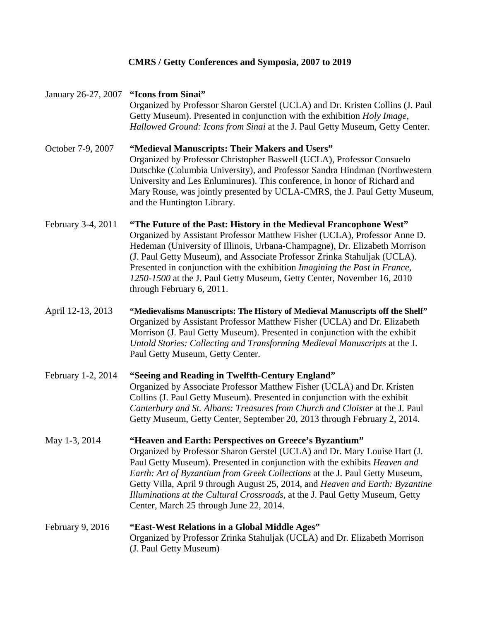## **CMRS / Getty Conferences and Symposia, 2007 to 2019**

| January 26-27, 2007 | "Icons from Sinai"<br>Organized by Professor Sharon Gerstel (UCLA) and Dr. Kristen Collins (J. Paul<br>Getty Museum). Presented in conjunction with the exhibition Holy Image,<br>Hallowed Ground: Icons from Sinai at the J. Paul Getty Museum, Getty Center.                                                                                                                                                                                                                                                     |
|---------------------|--------------------------------------------------------------------------------------------------------------------------------------------------------------------------------------------------------------------------------------------------------------------------------------------------------------------------------------------------------------------------------------------------------------------------------------------------------------------------------------------------------------------|
| October 7-9, 2007   | "Medieval Manuscripts: Their Makers and Users"<br>Organized by Professor Christopher Baswell (UCLA), Professor Consuelo<br>Dutschke (Columbia University), and Professor Sandra Hindman (Northwestern<br>University and Les Enluminures). This conference, in honor of Richard and<br>Mary Rouse, was jointly presented by UCLA-CMRS, the J. Paul Getty Museum,<br>and the Huntington Library.                                                                                                                     |
| February 3-4, 2011  | "The Future of the Past: History in the Medieval Francophone West"<br>Organized by Assistant Professor Matthew Fisher (UCLA), Professor Anne D.<br>Hedeman (University of Illinois, Urbana-Champagne), Dr. Elizabeth Morrison<br>(J. Paul Getty Museum), and Associate Professor Zrinka Stahuljak (UCLA).<br>Presented in conjunction with the exhibition Imagining the Past in France,<br>1250-1500 at the J. Paul Getty Museum, Getty Center, November 16, 2010<br>through February 6, 2011.                     |
| April 12-13, 2013   | "Medievalisms Manuscripts: The History of Medieval Manuscripts off the Shelf"<br>Organized by Assistant Professor Matthew Fisher (UCLA) and Dr. Elizabeth<br>Morrison (J. Paul Getty Museum). Presented in conjunction with the exhibit<br>Untold Stories: Collecting and Transforming Medieval Manuscripts at the J.<br>Paul Getty Museum, Getty Center.                                                                                                                                                          |
| February 1-2, 2014  | "Seeing and Reading in Twelfth-Century England"<br>Organized by Associate Professor Matthew Fisher (UCLA) and Dr. Kristen<br>Collins (J. Paul Getty Museum). Presented in conjunction with the exhibit<br>Canterbury and St. Albans: Treasures from Church and Cloister at the J. Paul<br>Getty Museum, Getty Center, September 20, 2013 through February 2, 2014.                                                                                                                                                 |
| May 1-3, 2014       | "Heaven and Earth: Perspectives on Greece's Byzantium"<br>Organized by Professor Sharon Gerstel (UCLA) and Dr. Mary Louise Hart (J.<br>Paul Getty Museum). Presented in conjunction with the exhibits <i>Heaven and</i><br>Earth: Art of Byzantium from Greek Collections at the J. Paul Getty Museum,<br>Getty Villa, April 9 through August 25, 2014, and Heaven and Earth: Byzantine<br>Illuminations at the Cultural Crossroads, at the J. Paul Getty Museum, Getty<br>Center, March 25 through June 22, 2014. |
| February 9, 2016    | "East-West Relations in a Global Middle Ages"<br>Organized by Professor Zrinka Stahuljak (UCLA) and Dr. Elizabeth Morrison<br>(J. Paul Getty Museum)                                                                                                                                                                                                                                                                                                                                                               |